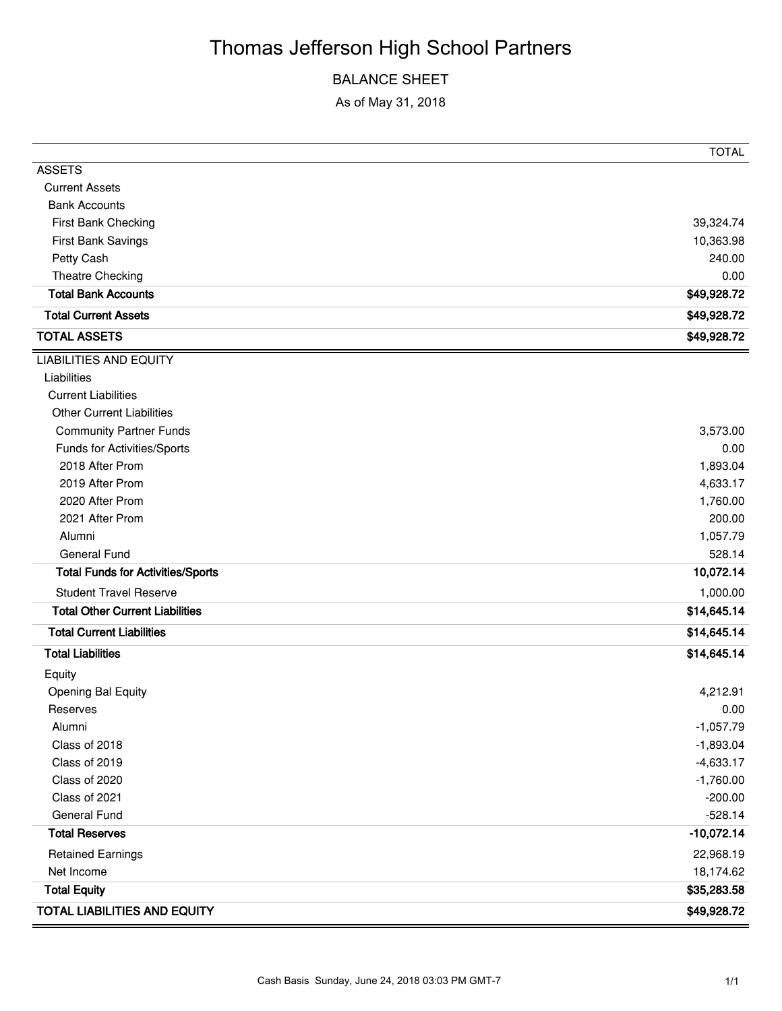# Thomas Jefferson High School Partners

## BALANCE SHEET

As of May 31, 2018

|                                          | <b>TOTAL</b> |
|------------------------------------------|--------------|
| <b>ASSETS</b>                            |              |
| <b>Current Assets</b>                    |              |
| <b>Bank Accounts</b>                     |              |
| First Bank Checking                      | 39,324.74    |
| First Bank Savings                       | 10,363.98    |
| Petty Cash                               | 240.00       |
| Theatre Checking                         | 0.00         |
| <b>Total Bank Accounts</b>               | \$49,928.72  |
| <b>Total Current Assets</b>              | \$49,928.72  |
| <b>TOTAL ASSETS</b>                      | \$49,928.72  |
| <b>LIABILITIES AND EQUITY</b>            |              |
| Liabilities                              |              |
| <b>Current Liabilities</b>               |              |
| <b>Other Current Liabilities</b>         |              |
| <b>Community Partner Funds</b>           | 3,573.00     |
| Funds for Activities/Sports              | 0.00         |
| 2018 After Prom                          | 1,893.04     |
| 2019 After Prom                          | 4,633.17     |
| 2020 After Prom                          | 1,760.00     |
| 2021 After Prom                          | 200.00       |
| Alumni                                   | 1,057.79     |
| General Fund                             | 528.14       |
| <b>Total Funds for Activities/Sports</b> | 10,072.14    |
| <b>Student Travel Reserve</b>            | 1,000.00     |
| <b>Total Other Current Liabilities</b>   | \$14,645.14  |
| <b>Total Current Liabilities</b>         | \$14,645.14  |
| <b>Total Liabilities</b>                 | \$14,645.14  |
| Equity                                   |              |
| <b>Opening Bal Equity</b>                | 4,212.91     |
| Reserves                                 | 0.00         |
| Alumni                                   | $-1,057.79$  |
| Class of 2018                            | $-1,893.04$  |
| Class of 2019                            | $-4,633.17$  |
| Class of 2020                            | $-1,760.00$  |
| Class of 2021                            | $-200.00$    |
| <b>General Fund</b>                      | $-528.14$    |
| <b>Total Reserves</b>                    | $-10,072.14$ |
| <b>Retained Earnings</b>                 | 22,968.19    |
| Net Income                               | 18,174.62    |
| <b>Total Equity</b>                      | \$35,283.58  |
| TOTAL LIABILITIES AND EQUITY             | \$49,928.72  |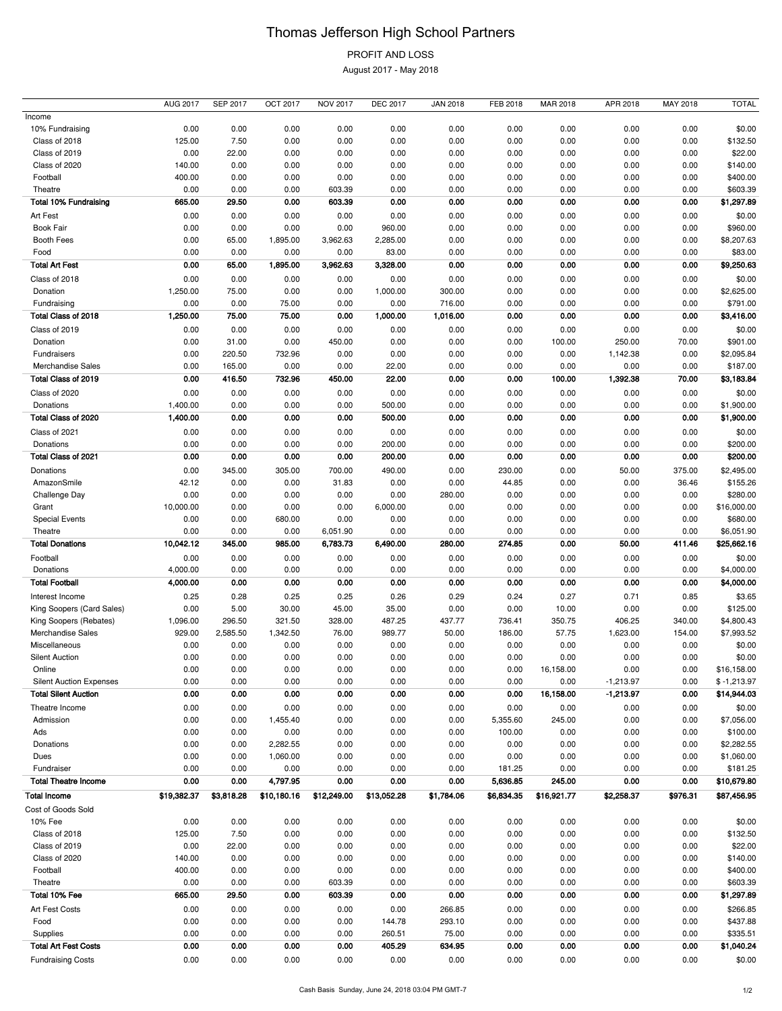# Thomas Jefferson High School Partners

# PROFIT AND LOSS

August 2017 - May 2018

|                                | <b>AUG 2017</b> | <b>SEP 2017</b> | OCT 2017    | <b>NOV 2017</b> | <b>DEC 2017</b> | <b>JAN 2018</b> | FEB 2018     | MAR 2018    | APR 2018       | MAY 2018      | <b>TOTAL</b>       |
|--------------------------------|-----------------|-----------------|-------------|-----------------|-----------------|-----------------|--------------|-------------|----------------|---------------|--------------------|
| Income                         |                 |                 |             |                 |                 |                 |              |             |                |               |                    |
| 10% Fundraising                | 0.00            | 0.00            | 0.00        | 0.00            | 0.00            | 0.00            | 0.00         | 0.00        | 0.00           | 0.00          | \$0.00             |
| Class of 2018                  | 125.00          | 7.50            | 0.00        | 0.00            | 0.00            | 0.00            | 0.00         | 0.00        | 0.00           | 0.00          | \$132.50           |
| Class of 2019                  | 0.00            | 22.00           | 0.00        | 0.00            | 0.00            | 0.00            | 0.00         | 0.00        | 0.00           | 0.00          | \$22.00            |
| Class of 2020                  | 140.00          | 0.00            | 0.00        | 0.00            | 0.00            | 0.00            | 0.00         | 0.00        | 0.00           | 0.00          | \$140.00           |
| Football                       | 400.00          | 0.00            | 0.00        | 0.00            | 0.00            | 0.00            | 0.00         | 0.00        | 0.00           | 0.00          | \$400.00           |
| Theatre                        | 0.00            | 0.00            | 0.00        | 603.39          | 0.00            | 0.00            | 0.00         | 0.00        | 0.00           | 0.00          | \$603.39           |
| <b>Total 10% Fundraising</b>   | 665.00          | 29.50           | 0.00        | 603.39          | 0.00            | 0.00            | 0.00         | 0.00        | 0.00           | 0.00          | \$1,297.89         |
| Art Fest                       | 0.00            | 0.00            | 0.00        | 0.00            | 0.00            | 0.00            | 0.00         | 0.00        | 0.00           | 0.00          | \$0.00             |
| Book Fair                      | 0.00            | 0.00            | 0.00        | 0.00            | 960.00          | 0.00            | 0.00         | 0.00        | 0.00           | 0.00          | \$960.00           |
| Booth Fees                     | 0.00            | 65.00           | 1,895.00    | 3,962.63        | 2,285.00        | 0.00            | 0.00         | 0.00        | 0.00           | 0.00          | \$8,207.63         |
| Food                           | 0.00            | 0.00            | 0.00        | 0.00            | 83.00           | 0.00            | 0.00         | 0.00        | 0.00           | 0.00          | \$83.00            |
| <b>Total Art Fest</b>          | 0.00            | 65.00           | 1,895.00    | 3,962.63        | 3,328.00        | 0.00            | 0.00         | 0.00        | 0.00           | 0.00          | \$9,250.63         |
| Class of 2018                  | 0.00            | 0.00            | 0.00        | 0.00            | 0.00            | 0.00            | 0.00         | 0.00        | 0.00           | 0.00          | \$0.00             |
| Donation                       | 1,250.00        | 75.00           | 0.00        | 0.00            | 1,000.00        | 300.00          | 0.00         | 0.00        | 0.00           | 0.00          | \$2,625.00         |
| Fundraising                    | 0.00            | 0.00            | 75.00       | 0.00            | 0.00            | 716.00          | 0.00         | 0.00        | 0.00           | 0.00          | \$791.00           |
| Total Class of 2018            | 1,250.00        | 75.00           | 75.00       | 0.00            | 1,000.00        | 1,016.00        | 0.00         | 0.00        | 0.00           | 0.00          | \$3,416.00         |
|                                | 0.00            | 0.00            | 0.00        | 0.00            |                 |                 |              | 0.00        |                |               |                    |
| Class of 2019<br>Donation      | 0.00            | 31.00           | 0.00        | 450.00          | 0.00<br>0.00    | 0.00<br>0.00    | 0.00<br>0.00 | 100.00      | 0.00<br>250.00 | 0.00<br>70.00 | \$0.00<br>\$901.00 |
| Fundraisers                    | 0.00            | 220.50          | 732.96      | 0.00            | 0.00            | 0.00            | 0.00         | 0.00        | 1,142.38       | 0.00          | \$2,095.84         |
| <b>Merchandise Sales</b>       | 0.00            | 165.00          | 0.00        | 0.00            | 22.00           | 0.00            | 0.00         | 0.00        | 0.00           | 0.00          | \$187.00           |
|                                |                 |                 |             |                 |                 |                 |              |             |                |               |                    |
| Total Class of 2019            | 0.00            | 416.50          | 732.96      | 450.00          | 22.00           | 0.00            | 0.00         | 100.00      | 1,392.38       | 70.00         | \$3,183.84         |
| Class of 2020                  | 0.00            | 0.00            | 0.00        | 0.00            | 0.00            | 0.00            | 0.00         | 0.00        | 0.00           | 0.00          | \$0.00             |
| Donations                      | 1,400.00        | 0.00            | 0.00        | 0.00            | 500.00          | 0.00            | 0.00         | 0.00        | 0.00           | 0.00          | \$1,900.00         |
| Total Class of 2020            | 1,400.00        | 0.00            | 0.00        | 0.00            | 500.00          | 0.00            | 0.00         | 0.00        | 0.00           | 0.00          | \$1,900.00         |
| Class of 2021                  | 0.00            | 0.00            | 0.00        | 0.00            | 0.00            | 0.00            | 0.00         | 0.00        | 0.00           | 0.00          | \$0.00             |
| Donations                      | 0.00            | 0.00            | 0.00        | 0.00            | 200.00          | 0.00            | 0.00         | 0.00        | 0.00           | 0.00          | \$200.00           |
| Total Class of 2021            | 0.00            | 0.00            | 0.00        | 0.00            | 200.00          | 0.00            | 0.00         | 0.00        | 0.00           | 0.00          | \$200.00           |
| Donations                      | 0.00            | 345.00          | 305.00      | 700.00          | 490.00          | 0.00            | 230.00       | 0.00        | 50.00          | 375.00        | \$2,495.00         |
| AmazonSmile                    | 42.12           | 0.00            | 0.00        | 31.83           | 0.00            | 0.00            | 44.85        | 0.00        | 0.00           | 36.46         | \$155.26           |
| Challenge Day                  | 0.00            | 0.00            | 0.00        | 0.00            | 0.00            | 280.00          | 0.00         | 0.00        | 0.00           | 0.00          | \$280.00           |
| Grant                          | 10,000.00       | 0.00            | 0.00        | 0.00            | 6,000.00        | 0.00            | 0.00         | 0.00        | 0.00           | 0.00          | \$16,000.00        |
| <b>Special Events</b>          | 0.00            | 0.00            | 680.00      | 0.00            | 0.00            | 0.00            | 0.00         | 0.00        | 0.00           | 0.00          | \$680.00           |
| Theatre                        | 0.00            | 0.00            | 0.00        | 6,051.90        | 0.00            | 0.00            | 0.00         | 0.00        | 0.00           | 0.00          | \$6,051.90         |
| <b>Total Donations</b>         | 10,042.12       | 345.00          | 985.00      | 6,783.73        | 6,490.00        | 280.00          | 274.85       | 0.00        | 50.00          | 411.46        | \$25,662.16        |
| Football                       | 0.00            | 0.00            | 0.00        | 0.00            | 0.00            | 0.00            | 0.00         | 0.00        | 0.00           | 0.00          | \$0.00             |
| Donations                      | 4,000.00        | 0.00            | 0.00        | 0.00            | 0.00            | 0.00            | 0.00         | 0.00        | 0.00           | 0.00          | \$4,000.00         |
| <b>Total Football</b>          | 4,000.00        | 0.00            | 0.00        | 0.00            | 0.00            | 0.00            | 0.00         | 0.00        | 0.00           | 0.00          | \$4,000.00         |
| Interest Income                | 0.25            | 0.28            | 0.25        | 0.25            | 0.26            | 0.29            | 0.24         | 0.27        | 0.71           | 0.85          | \$3.65             |
| King Soopers (Card Sales)      | 0.00            | 5.00            | 30.00       | 45.00           | 35.00           | 0.00            | 0.00         | 10.00       | 0.00           | 0.00          | \$125.00           |
| King Soopers (Rebates)         | 1,096.00        | 296.50          | 321.50      | 328.00          | 487.25          | 437.77          | 736.41       | 350.75      | 406.25         | 340.00        | \$4,800.43         |
| Merchandise Sales              | 929.00          | 2,585.50        | 1,342.50    | 76.00           | 989.77          | 50.00           | 186.00       | 57.75       | 1,623.00       | 154.00        | \$7,993.52         |
| Miscellaneous                  | 0.00            | 0.00            | 0.00        | 0.00            | 0.00            | 0.00            |              |             |                |               | \$0.00             |
| <b>Silent Auction</b>          | 0.00            | 0.00            |             |                 |                 |                 |              |             |                |               |                    |
| Online                         |                 |                 |             |                 |                 |                 | 0.00         | 0.00        | 0.00           | 0.00          |                    |
|                                |                 |                 | 0.00        | 0.00            | 0.00            | 0.00            | 0.00         | 0.00        | 0.00           | 0.00          | \$0.00             |
|                                | 0.00            | 0.00            | 0.00        | 0.00            | 0.00            | 0.00            | 0.00         | 16,158.00   | 0.00           | 0.00          | \$16,158.00        |
| <b>Silent Auction Expenses</b> | 0.00            | 0.00            | 0.00        | 0.00            | 0.00            | 0.00            | 0.00         | 0.00        | $-1,213.97$    | 0.00          | $$ -1,213.97$      |
| <b>Total Silent Auction</b>    | 0.00            | 0.00            | 0.00        | 0.00            | 0.00            | 0.00            | 0.00         | 16,158.00   | $-1,213.97$    | 0.00          | \$14,944.03        |
| Theatre Income                 | 0.00            | 0.00            | 0.00        | 0.00            | 0.00            | 0.00            | 0.00         | 0.00        | 0.00           | 0.00          | \$0.00             |
| Admission                      | 0.00            | 0.00            | 1,455.40    | 0.00            | 0.00            | 0.00            | 5,355.60     | 245.00      | 0.00           | 0.00          | \$7,056.00         |
| Ads                            | 0.00            | 0.00            | 0.00        | 0.00            | 0.00            | 0.00            | 100.00       | 0.00        | 0.00           | 0.00          | \$100.00           |
| Donations                      | 0.00            | 0.00            | 2,282.55    | 0.00            | 0.00            | 0.00            | 0.00         | 0.00        | 0.00           | 0.00          | \$2,282.55         |
| Dues                           | 0.00            | 0.00            | 1,060.00    | 0.00            | 0.00            | 0.00            | 0.00         | 0.00        | 0.00           | 0.00          | \$1,060.00         |
| Fundraiser                     | 0.00            | 0.00            | 0.00        | 0.00            | 0.00            | 0.00            | 181.25       | 0.00        | 0.00           | 0.00          | \$181.25           |
| <b>Total Theatre Income</b>    | 0.00            | 0.00            | 4,797.95    | 0.00            | 0.00            | 0.00            | 5,636.85     | 245.00      | 0.00           | 0.00          | \$10,679.80        |
| <b>Total Income</b>            | \$19,382.37     | \$3,818.28      | \$10,180.16 | \$12,249.00     | \$13,052.28     | \$1,784.06      | \$6,834.35   | \$16,921.77 | \$2,258.37     | \$976.31      | \$87,456.95        |
| Cost of Goods Sold             |                 |                 |             |                 |                 |                 |              |             |                |               |                    |
| 10% Fee                        | 0.00            | 0.00            | 0.00        | 0.00            | 0.00            | 0.00            | 0.00         | 0.00        | 0.00           | 0.00          | \$0.00             |
| Class of 2018                  | 125.00          | 7.50            | 0.00        | 0.00            | 0.00            | 0.00            | 0.00         | 0.00        | 0.00           | 0.00          | \$132.50           |
| Class of 2019                  | 0.00            | 22.00           | 0.00        | 0.00            | 0.00            | 0.00            | 0.00         | 0.00        | 0.00           | 0.00          | \$22.00            |
| Class of 2020                  | 140.00          | 0.00            | 0.00        | 0.00            | 0.00            | 0.00            | 0.00         | 0.00        | 0.00           | 0.00          | \$140.00           |
| Football                       | 400.00          | 0.00            | 0.00        | 0.00            | 0.00            | 0.00            | 0.00         | 0.00        | 0.00           | 0.00          | \$400.00           |
| Theatre                        | 0.00            | 0.00            | 0.00        | 603.39          | 0.00            | 0.00            | 0.00         | 0.00        | 0.00           | 0.00          | \$603.39           |
| Total 10% Fee                  | 665.00          | 29.50           | 0.00        | 603.39          | 0.00            | 0.00            | 0.00         | 0.00        | 0.00           | 0.00          | \$1,297.89         |
| Art Fest Costs                 | 0.00            | 0.00            | 0.00        | 0.00            | 0.00            | 266.85          | 0.00         | 0.00        | 0.00           | 0.00          | \$266.85           |
| Food                           | 0.00            | 0.00            | 0.00        | 0.00            | 144.78          | 293.10          | 0.00         | 0.00        | 0.00           | 0.00          | \$437.88           |
| Supplies                       | 0.00            | 0.00            | 0.00        | 0.00            | 260.51          | 75.00           | 0.00         | 0.00        | 0.00           | 0.00          | \$335.51           |
| <b>Total Art Fest Costs</b>    | 0.00            | 0.00            | 0.00        | 0.00            | 405.29          | 634.95          | 0.00         | 0.00        | 0.00           | 0.00          | \$1,040.24         |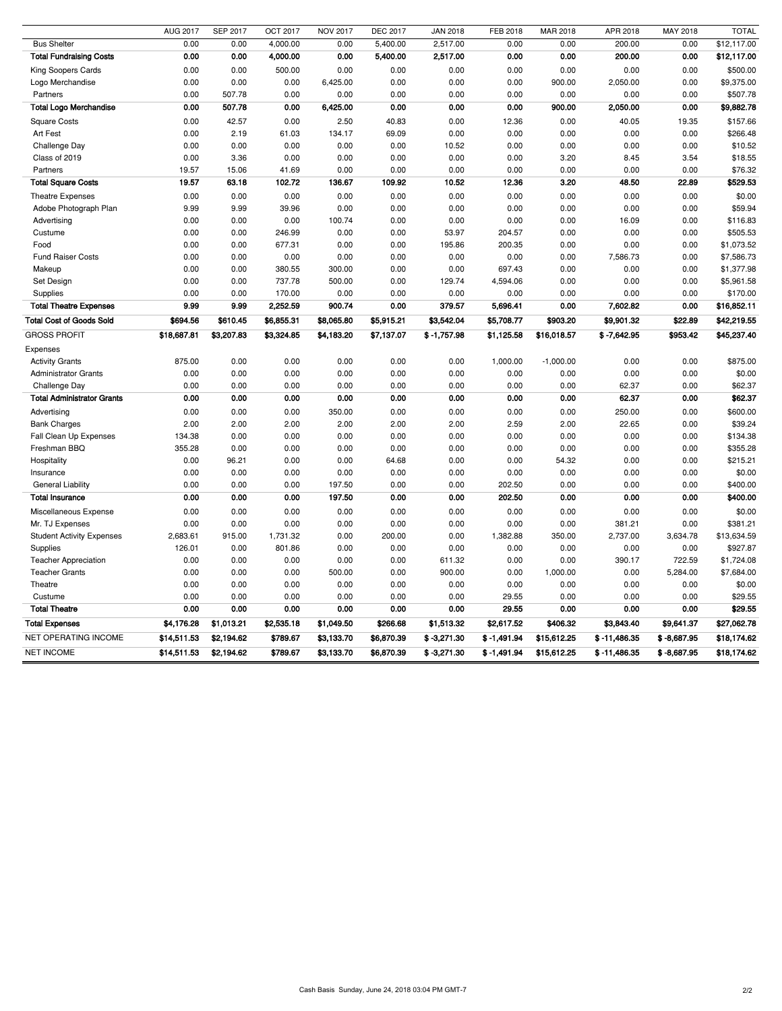Cash Basis Sunday, June 24, 2018 03:04 PM GMT-7 2/2

|                                   | AUG 2017    | <b>SEP 2017</b> | <b>OCT 2017</b> | <b>NOV 2017</b> | <b>DEC 2017</b> | <b>JAN 2018</b> | FEB 2018      | MAR 2018    | APR 2018       | MAY 2018      | <b>TOTAL</b> |
|-----------------------------------|-------------|-----------------|-----------------|-----------------|-----------------|-----------------|---------------|-------------|----------------|---------------|--------------|
| <b>Bus Shelter</b>                | 0.00        | 0.00            | 4,000.00        | 0.00            | 5,400.00        | 2,517.00        | 0.00          | 0.00        | 200.00         | 0.00          | \$12,117.00  |
| <b>Total Fundraising Costs</b>    | 0.00        | 0.00            | 4,000.00        | 0.00            | 5,400.00        | 2,517.00        | 0.00          | 0.00        | 200.00         | 0.00          | \$12,117.00  |
| King Soopers Cards                | 0.00        | 0.00            | 500.00          | 0.00            | 0.00            | 0.00            | 0.00          | 0.00        | 0.00           | 0.00          | \$500.00     |
| Logo Merchandise                  | 0.00        | 0.00            | 0.00            | 6,425.00        | 0.00            | 0.00            | 0.00          | 900.00      | 2,050.00       | 0.00          | \$9,375.00   |
| Partners                          | 0.00        | 507.78          | 0.00            | 0.00            | 0.00            | 0.00            | 0.00          | 0.00        | 0.00           | 0.00          | \$507.78     |
| <b>Total Logo Merchandise</b>     | 0.00        | 507.78          | 0.00            | 6,425.00        | 0.00            | 0.00            | 0.00          | 900.00      | 2,050.00       | 0.00          | \$9,882.78   |
| <b>Square Costs</b>               | 0.00        | 42.57           | 0.00            | 2.50            | 40.83           | 0.00            | 12.36         | 0.00        | 40.05          | 19.35         | \$157.66     |
| Art Fest                          | 0.00        | 2.19            | 61.03           | 134.17          | 69.09           | 0.00            | 0.00          | 0.00        | 0.00           | 0.00          | \$266.48     |
| Challenge Day                     | 0.00        | 0.00            | 0.00            | 0.00            | 0.00            | 10.52           | 0.00          | 0.00        | 0.00           | 0.00          | \$10.52      |
| Class of 2019                     | 0.00        | 3.36            | 0.00            | 0.00            | 0.00            | 0.00            | 0.00          | 3.20        | 8.45           | 3.54          | \$18.55      |
| Partners                          | 19.57       | 15.06           | 41.69           | 0.00            | 0.00            | 0.00            | 0.00          | 0.00        | 0.00           | 0.00          | \$76.32      |
| <b>Total Square Costs</b>         | 19.57       | 63.18           | 102.72          | 136.67          | 109.92          | 10.52           | 12.36         | 3.20        | 48.50          | 22.89         | \$529.53     |
| <b>Theatre Expenses</b>           | 0.00        | 0.00            | 0.00            | 0.00            | 0.00            | 0.00            | 0.00          | 0.00        | 0.00           | 0.00          | \$0.00       |
| Adobe Photograph Plan             | 9.99        | 9.99            | 39.96           | 0.00            | 0.00            | 0.00            | 0.00          | 0.00        | 0.00           | 0.00          | \$59.94      |
| Advertising                       | 0.00        | 0.00            | 0.00            | 100.74          | 0.00            | 0.00            | 0.00          | 0.00        | 16.09          | 0.00          | \$116.83     |
| Custume                           | 0.00        | 0.00            | 246.99          | 0.00            | 0.00            | 53.97           | 204.57        | 0.00        | 0.00           | 0.00          | \$505.53     |
| Food                              | 0.00        | 0.00            | 677.31          | 0.00            | 0.00            | 195.86          | 200.35        | 0.00        | 0.00           | 0.00          | \$1,073.52   |
| <b>Fund Raiser Costs</b>          | 0.00        | 0.00            | 0.00            | 0.00            | 0.00            | 0.00            | 0.00          | 0.00        | 7,586.73       | 0.00          | \$7,586.73   |
| Makeup                            | 0.00        | 0.00            | 380.55          | 300.00          | 0.00            | 0.00            | 697.43        | 0.00        | 0.00           | 0.00          | \$1,377.98   |
| Set Design                        | 0.00        | 0.00            | 737.78          | 500.00          | 0.00            | 129.74          | 4,594.06      | 0.00        | 0.00           | 0.00          | \$5,961.58   |
| Supplies                          | 0.00        | 0.00            | 170.00          | 0.00            | 0.00            | 0.00            | 0.00          | 0.00        | 0.00           | 0.00          | \$170.00     |
| <b>Total Theatre Expenses</b>     | 9.99        | 9.99            | 2,252.59        | 900.74          | 0.00            | 379.57          | 5,696.41      | 0.00        | 7,602.82       | 0.00          | \$16,852.11  |
| <b>Total Cost of Goods Sold</b>   | \$694.56    | \$610.45        | \$6,855.31      | \$8,065.80      | \$5,915.21      | \$3,542.04      | \$5,708.77    | \$903.20    | \$9,901.32     | \$22.89       | \$42,219.55  |
| <b>GROSS PROFIT</b>               | \$18,687.81 | \$3,207.83      | \$3,324.85      | \$4,183.20      | \$7,137.07      | $$ -1,757.98$   | \$1,125.58    | \$16,018.57 | $$ -7,642.95$  | \$953.42      | \$45,237.40  |
| Expenses                          |             |                 |                 |                 |                 |                 |               |             |                |               |              |
| <b>Activity Grants</b>            | 875.00      | 0.00            | 0.00            | 0.00            | 0.00            | 0.00            | 1,000.00      | $-1,000.00$ | 0.00           | 0.00          | \$875.00     |
| <b>Administrator Grants</b>       | 0.00        | 0.00            | 0.00            | 0.00            | 0.00            | 0.00            | 0.00          | 0.00        | 0.00           | 0.00          | \$0.00       |
| Challenge Day                     | 0.00        | 0.00            | 0.00            | 0.00            | 0.00            | 0.00            | 0.00          | 0.00        | 62.37          | 0.00          | \$62.37      |
| <b>Total Administrator Grants</b> | 0.00        | 0.00            | 0.00            | 0.00            | 0.00            | 0.00            | 0.00          | 0.00        | 62.37          | 0.00          | \$62.37      |
| Advertising                       | 0.00        | 0.00            | 0.00            | 350.00          | 0.00            | 0.00            | 0.00          | 0.00        | 250.00         | 0.00          | \$600.00     |
| <b>Bank Charges</b>               | 2.00        | 2.00            | 2.00            | 2.00            | 2.00            | 2.00            | 2.59          | 2.00        | 22.65          | 0.00          | \$39.24      |
| Fall Clean Up Expenses            | 134.38      | 0.00            | 0.00            | 0.00            | 0.00            | 0.00            | 0.00          | 0.00        | 0.00           | 0.00          | \$134.38     |
| Freshman BBQ                      | 355.28      | 0.00            | 0.00            | 0.00            | 0.00            | 0.00            | 0.00          | 0.00        | 0.00           | 0.00          | \$355.28     |
| Hospitality                       | 0.00        | 96.21           | 0.00            | 0.00            | 64.68           | 0.00            | 0.00          | 54.32       | 0.00           | 0.00          | \$215.21     |
| Insurance                         | 0.00        | 0.00            | 0.00            | 0.00            | 0.00            | 0.00            | 0.00          | 0.00        | 0.00           | 0.00          | \$0.00       |
| <b>General Liability</b>          | 0.00        | 0.00            | 0.00            | 197.50          | 0.00            | 0.00            | 202.50        | 0.00        | 0.00           | 0.00          | \$400.00     |
| <b>Total Insurance</b>            | 0.00        | 0.00            | 0.00            | 197.50          | 0.00            | 0.00            | 202.50        | 0.00        | 0.00           | 0.00          | \$400.00     |
| Miscellaneous Expense             | 0.00        | 0.00            | 0.00            | 0.00            | 0.00            | 0.00            | 0.00          | 0.00        | 0.00           | 0.00          | \$0.00       |
| Mr. TJ Expenses                   | 0.00        | 0.00            | 0.00            | 0.00            | 0.00            | 0.00            | 0.00          | 0.00        | 381.21         | 0.00          | \$381.21     |
| <b>Student Activity Expenses</b>  | 2,683.61    | 915.00          | 1,731.32        | 0.00            | 200.00          | 0.00            | 1,382.88      | 350.00      | 2,737.00       | 3,634.78      | \$13,634.59  |
| Supplies                          | 126.01      | 0.00            | 801.86          | 0.00            | 0.00            | 0.00            | 0.00          | 0.00        | 0.00           | 0.00          | \$927.87     |
| <b>Teacher Appreciation</b>       | 0.00        | 0.00            | 0.00            | 0.00            | 0.00            | 611.32          | 0.00          | 0.00        | 390.17         | 722.59        | \$1,724.08   |
| <b>Teacher Grants</b>             | 0.00        | 0.00            | 0.00            | 500.00          | 0.00            | 900.00          | 0.00          | 1,000.00    | 0.00           | 5,284.00      | \$7,684.00   |
| Theatre                           | 0.00        | 0.00            | 0.00            | 0.00            | 0.00            | 0.00            | 0.00          | 0.00        | 0.00           | 0.00          | \$0.00       |
| Custume                           | 0.00        | 0.00            | 0.00            | 0.00            | 0.00            | 0.00            | 29.55         | 0.00        | 0.00           | 0.00          | \$29.55      |
| <b>Total Theatre</b>              | 0.00        | 0.00            | 0.00            | 0.00            | 0.00            | 0.00            | 29.55         | 0.00        | 0.00           | 0.00          | \$29.55      |
| <b>Total Expenses</b>             | \$4,176.28  | \$1,013.21      | \$2,535.18      | \$1,049.50      | \$266.68        | \$1,513.32      | \$2,617.52    | \$406.32    | \$3,843.40     | \$9,641.37    | \$27,062.78  |
| NET OPERATING INCOME              |             |                 |                 |                 |                 |                 |               |             |                |               |              |
| <b>NET INCOME</b>                 | \$14,511.53 | \$2,194.62      | \$789.67        | \$3,133.70      | \$6,870.39      | $$ -3,271.30$   | $$ -1,491.94$ | \$15,612.25 | $$ -11,486.35$ | $$ -8,687.95$ | \$18,174.62  |
|                                   | \$14,511.53 | \$2,194.62      | \$789.67        | \$3,133.70      | \$6,870.39      | $$ -3,271.30$   | $$ -1,491.94$ | \$15,612.25 | $$ -11,486.35$ | $$ -8,687.95$ | \$18,174.62  |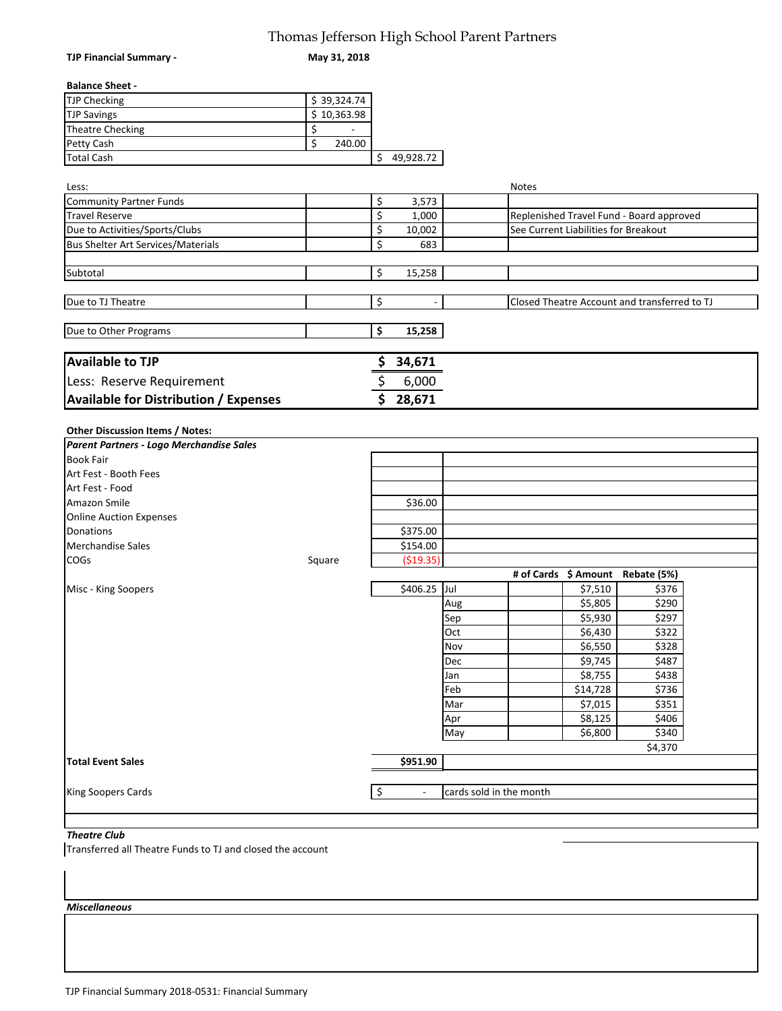### Thomas Jefferson High School Parent Partners

| <b>TJP Financial Summary -</b>                                              | Thomas Jefferson High School Parent Partners<br>May 31, 2018 |                      |                          |                         |              |                                      |                                              |  |
|-----------------------------------------------------------------------------|--------------------------------------------------------------|----------------------|--------------------------|-------------------------|--------------|--------------------------------------|----------------------------------------------|--|
|                                                                             |                                                              |                      |                          |                         |              |                                      |                                              |  |
| <b>Balance Sheet -</b>                                                      |                                                              |                      |                          |                         |              |                                      |                                              |  |
| <b>TJP Checking</b>                                                         | \$39,324.74                                                  |                      |                          |                         |              |                                      |                                              |  |
| <b>TJP Savings</b>                                                          | $\overline{5}$ 10,363.98                                     |                      |                          |                         |              |                                      |                                              |  |
| <b>Theatre Checking</b>                                                     | \$                                                           |                      |                          |                         |              |                                      |                                              |  |
| Petty Cash                                                                  | \$<br>240.00                                                 |                      |                          |                         |              |                                      |                                              |  |
| <b>Total Cash</b>                                                           |                                                              | \$                   | 49,928.72                |                         |              |                                      |                                              |  |
|                                                                             |                                                              |                      |                          |                         |              |                                      |                                              |  |
| Less:                                                                       |                                                              |                      |                          |                         | <b>Notes</b> |                                      |                                              |  |
| <b>Community Partner Funds</b>                                              |                                                              | \$                   | 3,573                    |                         |              |                                      |                                              |  |
| <b>Travel Reserve</b>                                                       |                                                              | \$                   | 1,000                    |                         |              |                                      | Replenished Travel Fund - Board approved     |  |
| Due to Activities/Sports/Clubs                                              |                                                              | \$                   | 10,002                   |                         |              | See Current Liabilities for Breakout |                                              |  |
| <b>Bus Shelter Art Services/Materials</b>                                   |                                                              | \$                   | 683                      |                         |              |                                      |                                              |  |
|                                                                             |                                                              |                      |                          |                         |              |                                      |                                              |  |
| Subtotal                                                                    |                                                              | \$                   | 15,258                   |                         |              |                                      |                                              |  |
|                                                                             |                                                              |                      |                          |                         |              |                                      |                                              |  |
| Due to TJ Theatre                                                           |                                                              | \$                   |                          |                         |              |                                      | Closed Theatre Account and transferred to TJ |  |
|                                                                             |                                                              |                      |                          |                         |              |                                      |                                              |  |
| Due to Other Programs                                                       |                                                              | \$                   | 15,258                   |                         |              |                                      |                                              |  |
| <b>Available to TJP</b>                                                     |                                                              | Ş                    | 34,671                   |                         |              |                                      |                                              |  |
| Less: Reserve Requirement                                                   |                                                              | \$                   | 6,000                    |                         |              |                                      |                                              |  |
|                                                                             |                                                              |                      |                          |                         |              |                                      |                                              |  |
| <b>Available for Distribution / Expenses</b>                                |                                                              | \$                   | 28,671                   |                         |              |                                      |                                              |  |
| Other Discussion Items / Notes:<br>Parent Partners - Logo Merchandise Sales |                                                              |                      |                          |                         |              |                                      |                                              |  |
| <b>Book Fair</b>                                                            |                                                              |                      |                          |                         |              |                                      |                                              |  |
| Art Fest - Booth Fees                                                       |                                                              |                      |                          |                         |              |                                      |                                              |  |
| Art Fest - Food                                                             |                                                              |                      |                          |                         |              |                                      |                                              |  |
| Amazon Smile                                                                |                                                              |                      | \$36.00                  |                         |              |                                      |                                              |  |
| <b>Online Auction Expenses</b>                                              |                                                              |                      |                          |                         |              |                                      |                                              |  |
| Donations                                                                   |                                                              |                      | \$375.00                 |                         |              |                                      |                                              |  |
| <b>Merchandise Sales</b>                                                    |                                                              |                      | \$154.00                 |                         |              |                                      |                                              |  |
| COGs                                                                        | Square                                                       |                      | ( \$19.35)               |                         |              |                                      |                                              |  |
|                                                                             |                                                              |                      |                          |                         |              | # of Cards \$ Amount                 | Rebate (5%)                                  |  |
| Misc - King Soopers                                                         |                                                              |                      | \$406.25                 | Jul                     |              | \$7,510                              | \$376                                        |  |
|                                                                             |                                                              |                      |                          | Aug                     |              | \$5,805                              | \$290                                        |  |
|                                                                             |                                                              |                      |                          | Sep                     |              | \$5,930                              | \$297                                        |  |
|                                                                             |                                                              |                      |                          | Oct                     |              | \$6,430                              | \$322                                        |  |
|                                                                             |                                                              |                      |                          | Nov                     |              | \$6,550                              | \$328                                        |  |
|                                                                             |                                                              |                      |                          | Dec                     |              | \$9,745                              | \$487                                        |  |
|                                                                             |                                                              |                      |                          | Jan                     |              | \$8,755                              | \$438                                        |  |
|                                                                             |                                                              |                      |                          | Feb                     |              | \$14,728                             | \$736                                        |  |
|                                                                             |                                                              |                      |                          | Mar                     |              | \$7,015                              | \$351                                        |  |
|                                                                             |                                                              |                      |                          | Apr                     |              | \$8,125                              | \$406                                        |  |
|                                                                             |                                                              |                      |                          | May                     |              | \$6,800                              | \$340                                        |  |
|                                                                             |                                                              |                      |                          |                         |              |                                      | \$4,370                                      |  |
| <b>Total Event Sales</b>                                                    |                                                              |                      | \$951.90                 |                         |              |                                      |                                              |  |
|                                                                             |                                                              |                      |                          |                         |              |                                      |                                              |  |
| <b>King Soopers Cards</b>                                                   |                                                              | $\boldsymbol{\zeta}$ | $\overline{\phantom{a}}$ | cards sold in the month |              |                                      |                                              |  |
|                                                                             |                                                              |                      |                          |                         |              |                                      |                                              |  |
| <b>Theatre Club</b>                                                         |                                                              |                      |                          |                         |              |                                      |                                              |  |

Transferred all Theatre Funds to TJ and closed the account

*Miscellaneous*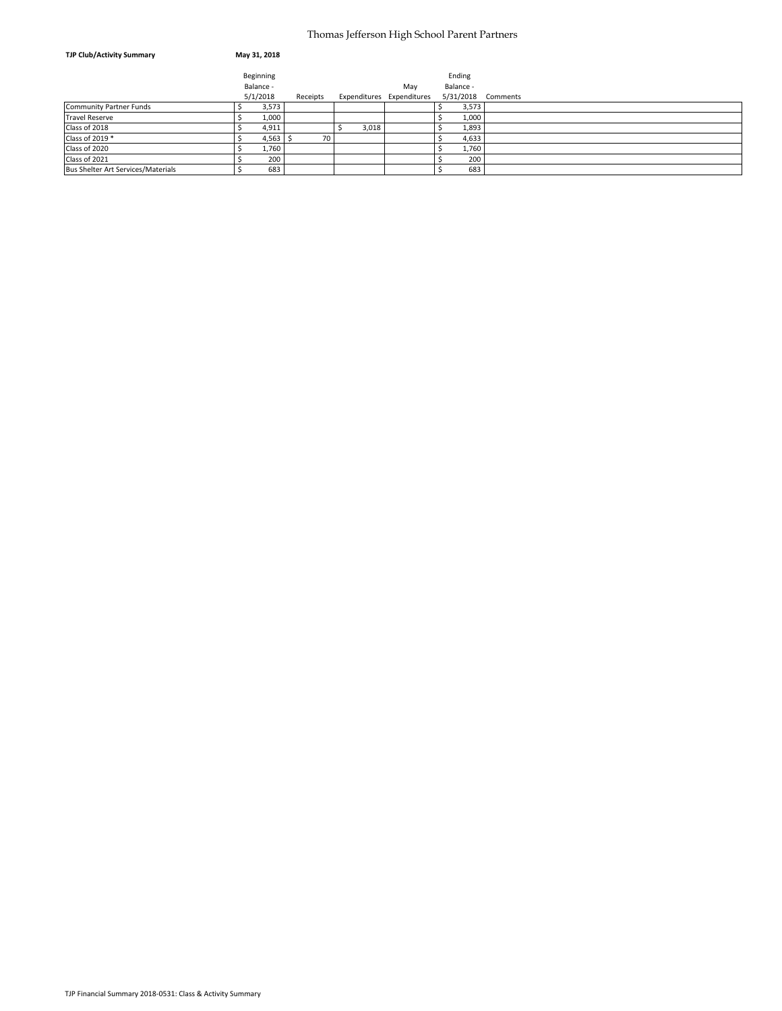#### Thomas Jefferson High School Parent Partners

| <b>TJP Club/Activity Summary</b>          | May 31, 2018 |          |       |                           |           |          |
|-------------------------------------------|--------------|----------|-------|---------------------------|-----------|----------|
|                                           | Beginning    |          |       |                           | Ending    |          |
|                                           | Balance -    |          |       | May                       | Balance - |          |
|                                           | 5/1/2018     | Receipts |       | Expenditures Expenditures | 5/31/2018 | Comments |
| <b>Community Partner Funds</b>            | 3,573        |          |       |                           | 3,573     |          |
| <b>Travel Reserve</b>                     | 1,000        |          |       |                           | 1,000     |          |
| Class of 2018                             | 4,911        |          | 3,018 |                           | 1,893     |          |
| Class of 2019 *                           | $4,563$ \$   | 70       |       |                           | 4,633     |          |
| Class of 2020                             | 1,760        |          |       |                           | 1,760     |          |
| Class of 2021                             | 200          |          |       |                           | 200       |          |
| <b>Bus Shelter Art Services/Materials</b> | 683          |          |       |                           | 683       |          |